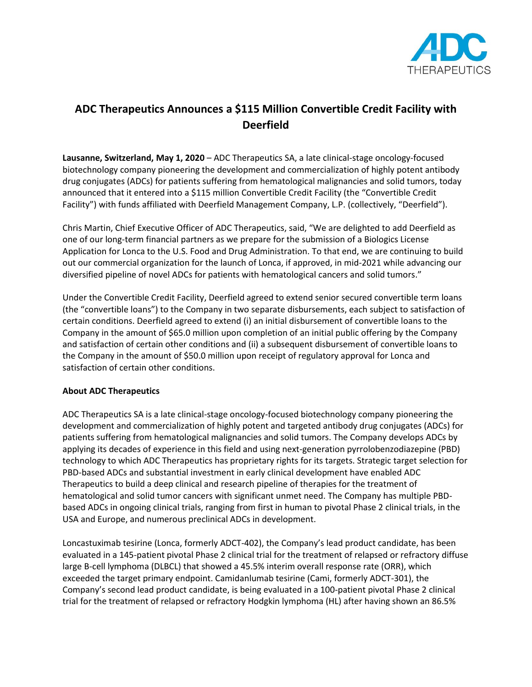

## **ADC Therapeutics Announces a \$115 Million Convertible Credit Facility with Deerfield**

**Lausanne, Switzerland, May 1, 2020** – ADC Therapeutics SA, a late clinical-stage oncology-focused biotechnology company pioneering the development and commercialization of highly potent antibody drug conjugates (ADCs) for patients suffering from hematological malignancies and solid tumors, today announced that it entered into a \$115 million Convertible Credit Facility (the "Convertible Credit Facility") with funds affiliated with Deerfield Management Company, L.P. (collectively, "Deerfield").

Chris Martin, Chief Executive Officer of ADC Therapeutics, said, "We are delighted to add Deerfield as one of our long-term financial partners as we prepare for the submission of a Biologics License Application for Lonca to the U.S. Food and Drug Administration. To that end, we are continuing to build out our commercial organization for the launch of Lonca, if approved, in mid-2021 while advancing our diversified pipeline of novel ADCs for patients with hematological cancers and solid tumors."

Under the Convertible Credit Facility, Deerfield agreed to extend senior secured convertible term loans (the "convertible loans") to the Company in two separate disbursements, each subject to satisfaction of certain conditions. Deerfield agreed to extend (i) an initial disbursement of convertible loans to the Company in the amount of \$65.0 million upon completion of an initial public offering by the Company and satisfaction of certain other conditions and (ii) a subsequent disbursement of convertible loans to the Company in the amount of \$50.0 million upon receipt of regulatory approval for Lonca and satisfaction of certain other conditions.

## **About ADC Therapeutics**

ADC Therapeutics SA is a late clinical-stage oncology-focused biotechnology company pioneering the development and commercialization of highly potent and targeted antibody drug conjugates (ADCs) for patients suffering from hematological malignancies and solid tumors. The Company develops ADCs by applying its decades of experience in this field and using next-generation pyrrolobenzodiazepine (PBD) technology to which ADC Therapeutics has proprietary rights for its targets. Strategic target selection for PBD-based ADCs and substantial investment in early clinical development have enabled ADC Therapeutics to build a deep clinical and research pipeline of therapies for the treatment of hematological and solid tumor cancers with significant unmet need. The Company has multiple PBDbased ADCs in ongoing clinical trials, ranging from first in human to pivotal Phase 2 clinical trials, in the USA and Europe, and numerous preclinical ADCs in development.

Loncastuximab tesirine (Lonca, formerly ADCT-402), the Company's lead product candidate, has been evaluated in a 145-patient pivotal Phase 2 clinical trial for the treatment of relapsed or refractory diffuse large B-cell lymphoma (DLBCL) that showed a 45.5% interim overall response rate (ORR), which exceeded the target primary endpoint. Camidanlumab tesirine (Cami, formerly ADCT-301), the Company's second lead product candidate, is being evaluated in a 100-patient pivotal Phase 2 clinical trial for the treatment of relapsed or refractory Hodgkin lymphoma (HL) after having shown an 86.5%